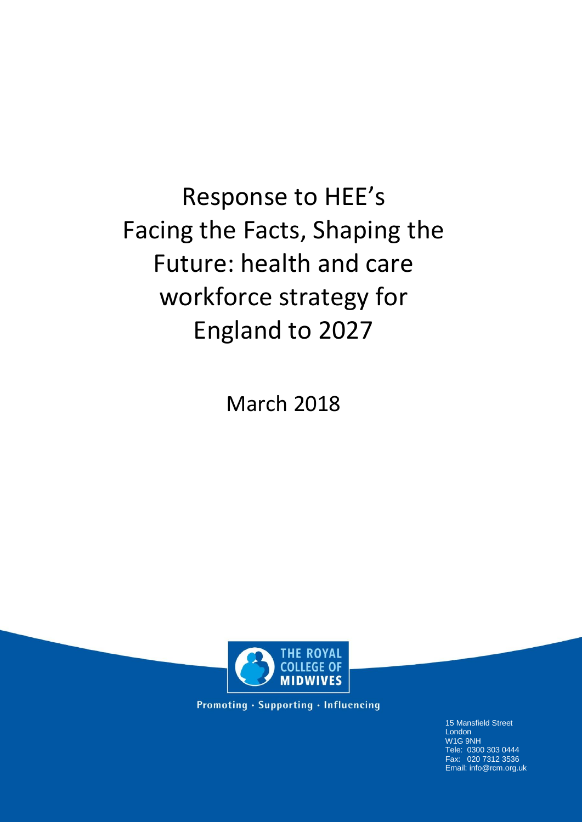Response to HEE's Facing the Facts, Shaping the Future: health and care workforce strategy for England to 2027

March 2018



Promoting · Supporting · Influencing

15 Mansfield Street London W1G 9NH Tele: 0300 303 0444 Fax: 020 7312 3536 Email: info@rcm.org.uk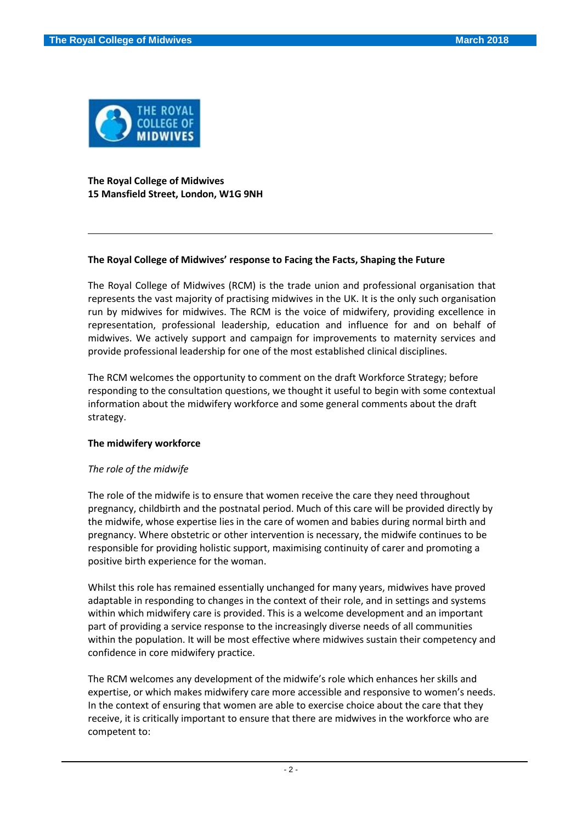

**The Royal College of Midwives 15 Mansfield Street, London, W1G 9NH**

## **The Royal College of Midwives' response to Facing the Facts, Shaping the Future**

The Royal College of Midwives (RCM) is the trade union and professional organisation that represents the vast majority of practising midwives in the UK. It is the only such organisation run by midwives for midwives. The RCM is the voice of midwifery, providing excellence in representation, professional leadership, education and influence for and on behalf of midwives. We actively support and campaign for improvements to maternity services and provide professional leadership for one of the most established clinical disciplines.

The RCM welcomes the opportunity to comment on the draft Workforce Strategy; before responding to the consultation questions, we thought it useful to begin with some contextual information about the midwifery workforce and some general comments about the draft strategy.

#### **The midwifery workforce**

# *The role of the midwife*

The role of the midwife is to ensure that women receive the care they need throughout pregnancy, childbirth and the postnatal period. Much of this care will be provided directly by the midwife, whose expertise lies in the care of women and babies during normal birth and pregnancy. Where obstetric or other intervention is necessary, the midwife continues to be responsible for providing holistic support, maximising continuity of carer and promoting a positive birth experience for the woman.

Whilst this role has remained essentially unchanged for many years, midwives have proved adaptable in responding to changes in the context of their role, and in settings and systems within which midwifery care is provided. This is a welcome development and an important part of providing a service response to the increasingly diverse needs of all communities within the population. It will be most effective where midwives sustain their competency and confidence in core midwifery practice.

The RCM welcomes any development of the midwife's role which enhances her skills and expertise, or which makes midwifery care more accessible and responsive to women's needs. In the context of ensuring that women are able to exercise choice about the care that they receive, it is critically important to ensure that there are midwives in the workforce who are competent to: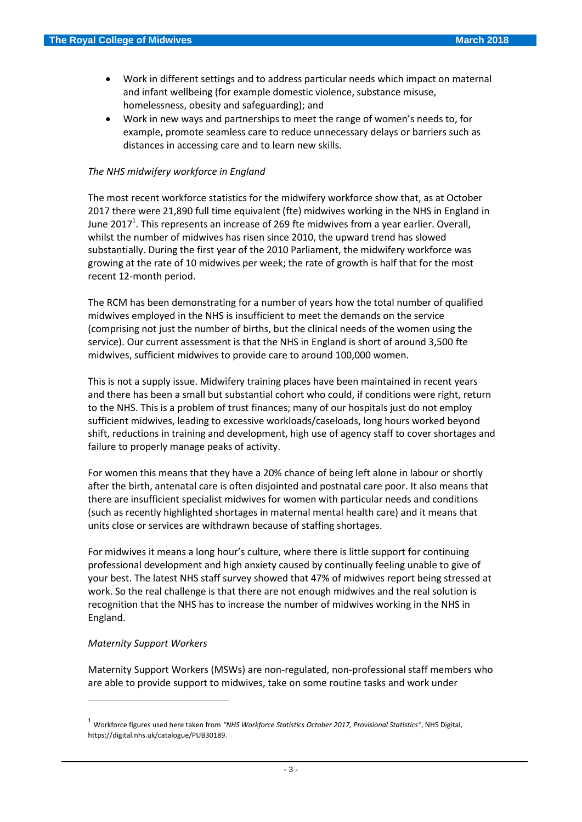- Work in different settings and to address particular needs which impact on maternal and infant wellbeing (for example domestic violence, substance misuse, homelessness, obesity and safeguarding); and
- Work in new ways and partnerships to meet the range of women's needs to, for example, promote seamless care to reduce unnecessary delays or barriers such as distances in accessing care and to learn new skills.

#### *The NHS midwifery workforce in England*

The most recent workforce statistics for the midwifery workforce show that, as at October 2017 there were 21,890 full time equivalent (fte) midwives working in the NHS in England in June 2017<sup>1</sup>. This represents an increase of 269 fte midwives from a year earlier. Overall, whilst the number of midwives has risen since 2010, the upward trend has slowed substantially. During the first year of the 2010 Parliament, the midwifery workforce was growing at the rate of 10 midwives per week; the rate of growth is half that for the most recent 12-month period.

The RCM has been demonstrating for a number of years how the total number of qualified midwives employed in the NHS is insufficient to meet the demands on the service (comprising not just the number of births, but the clinical needs of the women using the service). Our current assessment is that the NHS in England is short of around 3,500 fte midwives, sufficient midwives to provide care to around 100,000 women.

This is not a supply issue. Midwifery training places have been maintained in recent years and there has been a small but substantial cohort who could, if conditions were right, return to the NHS. This is a problem of trust finances; many of our hospitals just do not employ sufficient midwives, leading to excessive workloads/caseloads, long hours worked beyond shift, reductions in training and development, high use of agency staff to cover shortages and failure to properly manage peaks of activity.

For women this means that they have a 20% chance of being left alone in labour or shortly after the birth, antenatal care is often disjointed and postnatal care poor. It also means that there are insufficient specialist midwives for women with particular needs and conditions (such as recently highlighted shortages in maternal mental health care) and it means that units close or services are withdrawn because of staffing shortages.

For midwives it means a long hour's culture, where there is little support for continuing professional development and high anxiety caused by continually feeling unable to give of your best. The latest NHS staff survey showed that 47% of midwives report being stressed at work. So the real challenge is that there are not enough midwives and the real solution is recognition that the NHS has to increase the number of midwives working in the NHS in England.

#### *Maternity Support Workers*

1

Maternity Support Workers (MSWs) are non-regulated, non-professional staff members who are able to provide support to midwives, take on some routine tasks and work under

<sup>1</sup> Workforce figures used here taken from *"NHS Workforce Statistics October 2017, Provisional Statistics"*, NHS Digital, https://digital.nhs.uk/catalogue/PUB30189.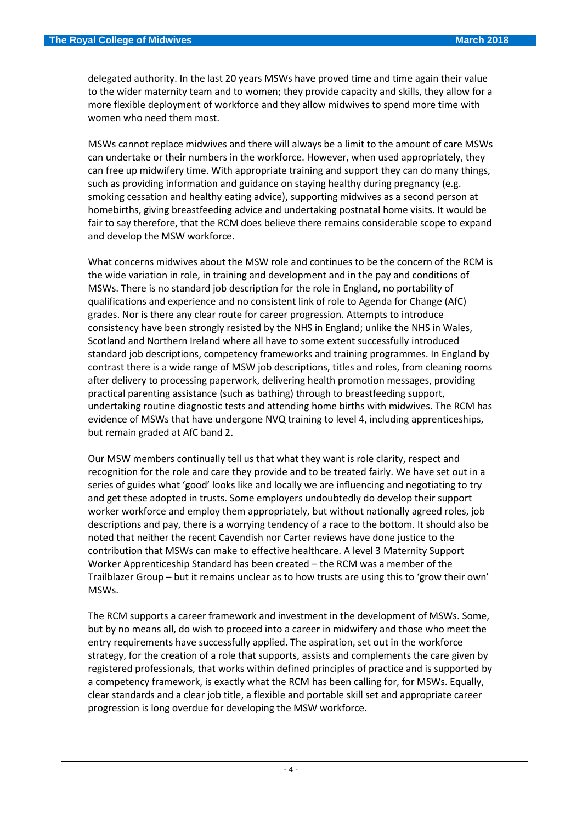delegated authority. In the last 20 years MSWs have proved time and time again their value to the wider maternity team and to women; they provide capacity and skills, they allow for a more flexible deployment of workforce and they allow midwives to spend more time with women who need them most.

MSWs cannot replace midwives and there will always be a limit to the amount of care MSWs can undertake or their numbers in the workforce. However, when used appropriately, they can free up midwifery time. With appropriate training and support they can do many things, such as providing information and guidance on staying healthy during pregnancy (e.g. smoking cessation and healthy eating advice), supporting midwives as a second person at homebirths, giving breastfeeding advice and undertaking postnatal home visits. It would be fair to say therefore, that the RCM does believe there remains considerable scope to expand and develop the MSW workforce.

What concerns midwives about the MSW role and continues to be the concern of the RCM is the wide variation in role, in training and development and in the pay and conditions of MSWs. There is no standard job description for the role in England, no portability of qualifications and experience and no consistent link of role to Agenda for Change (AfC) grades. Nor is there any clear route for career progression. Attempts to introduce consistency have been strongly resisted by the NHS in England; unlike the NHS in Wales, Scotland and Northern Ireland where all have to some extent successfully introduced standard job descriptions, competency frameworks and training programmes. In England by contrast there is a wide range of MSW job descriptions, titles and roles, from cleaning rooms after delivery to processing paperwork, delivering health promotion messages, providing practical parenting assistance (such as bathing) through to breastfeeding support, undertaking routine diagnostic tests and attending home births with midwives. The RCM has evidence of MSWs that have undergone NVQ training to level 4, including apprenticeships, but remain graded at AfC band 2.

Our MSW members continually tell us that what they want is role clarity, respect and recognition for the role and care they provide and to be treated fairly. We have set out in a series of guides what 'good' looks like and locally we are influencing and negotiating to try and get these adopted in trusts. Some employers undoubtedly do develop their support worker workforce and employ them appropriately, but without nationally agreed roles, job descriptions and pay, there is a worrying tendency of a race to the bottom. It should also be noted that neither the recent Cavendish nor Carter reviews have done justice to the contribution that MSWs can make to effective healthcare. A level 3 Maternity Support Worker Apprenticeship Standard has been created – the RCM was a member of the Trailblazer Group – but it remains unclear as to how trusts are using this to 'grow their own' MSWs.

The RCM supports a career framework and investment in the development of MSWs. Some, but by no means all, do wish to proceed into a career in midwifery and those who meet the entry requirements have successfully applied. The aspiration, set out in the workforce strategy, for the creation of a role that supports, assists and complements the care given by registered professionals, that works within defined principles of practice and is supported by a competency framework, is exactly what the RCM has been calling for, for MSWs. Equally, clear standards and a clear job title, a flexible and portable skill set and appropriate career progression is long overdue for developing the MSW workforce.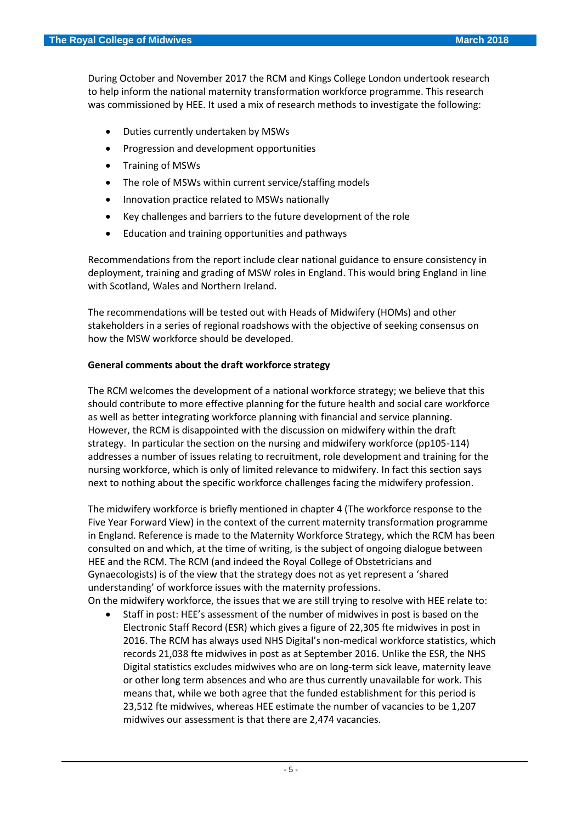During October and November 2017 the RCM and Kings College London undertook research to help inform the national maternity transformation workforce programme. This research was commissioned by HEE. It used a mix of research methods to investigate the following:

- Duties currently undertaken by MSWs
- Progression and development opportunities
- Training of MSWs
- The role of MSWs within current service/staffing models
- Innovation practice related to MSWs nationally
- Key challenges and barriers to the future development of the role
- Education and training opportunities and pathways

Recommendations from the report include clear national guidance to ensure consistency in deployment, training and grading of MSW roles in England. This would bring England in line with Scotland, Wales and Northern Ireland.

The recommendations will be tested out with Heads of Midwifery (HOMs) and other stakeholders in a series of regional roadshows with the objective of seeking consensus on how the MSW workforce should be developed.

#### **General comments about the draft workforce strategy**

The RCM welcomes the development of a national workforce strategy; we believe that this should contribute to more effective planning for the future health and social care workforce as well as better integrating workforce planning with financial and service planning. However, the RCM is disappointed with the discussion on midwifery within the draft strategy. In particular the section on the nursing and midwifery workforce (pp105-114) addresses a number of issues relating to recruitment, role development and training for the nursing workforce, which is only of limited relevance to midwifery. In fact this section says next to nothing about the specific workforce challenges facing the midwifery profession.

The midwifery workforce is briefly mentioned in chapter 4 (The workforce response to the Five Year Forward View) in the context of the current maternity transformation programme in England. Reference is made to the Maternity Workforce Strategy, which the RCM has been consulted on and which, at the time of writing, is the subject of ongoing dialogue between HEE and the RCM. The RCM (and indeed the Royal College of Obstetricians and Gynaecologists) is of the view that the strategy does not as yet represent a 'shared understanding' of workforce issues with the maternity professions.

On the midwifery workforce, the issues that we are still trying to resolve with HEE relate to:

 Staff in post: HEE's assessment of the number of midwives in post is based on the Electronic Staff Record (ESR) which gives a figure of 22,305 fte midwives in post in 2016. The RCM has always used NHS Digital's non-medical workforce statistics, which records 21,038 fte midwives in post as at September 2016. Unlike the ESR, the NHS Digital statistics excludes midwives who are on long-term sick leave, maternity leave or other long term absences and who are thus currently unavailable for work. This means that, while we both agree that the funded establishment for this period is 23,512 fte midwives, whereas HEE estimate the number of vacancies to be 1,207 midwives our assessment is that there are 2,474 vacancies.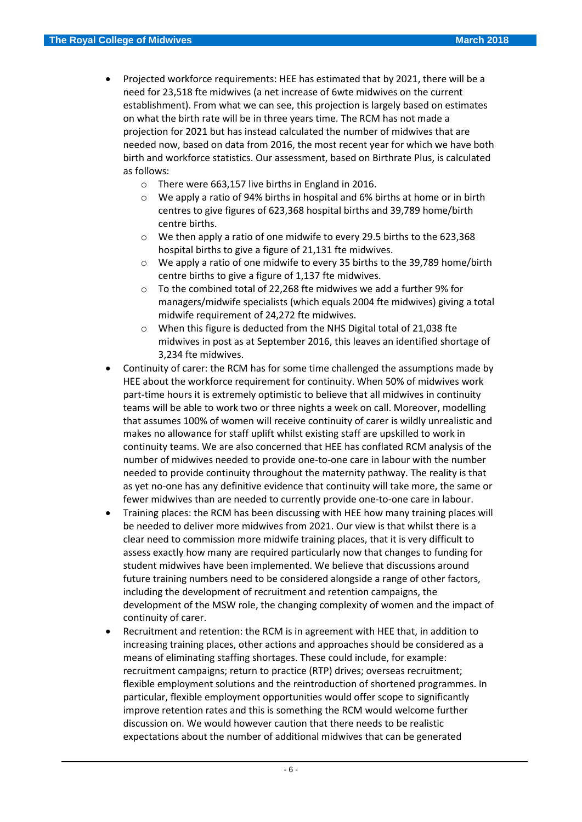- Projected workforce requirements: HEE has estimated that by 2021, there will be a need for 23,518 fte midwives (a net increase of 6wte midwives on the current establishment). From what we can see, this projection is largely based on estimates on what the birth rate will be in three years time. The RCM has not made a projection for 2021 but has instead calculated the number of midwives that are needed now, based on data from 2016, the most recent year for which we have both birth and workforce statistics. Our assessment, based on Birthrate Plus, is calculated as follows:
	- o There were 663,157 live births in England in 2016.
	- o We apply a ratio of 94% births in hospital and 6% births at home or in birth centres to give figures of 623,368 hospital births and 39,789 home/birth centre births.
	- o We then apply a ratio of one midwife to every 29.5 births to the 623,368 hospital births to give a figure of 21,131 fte midwives.
	- o We apply a ratio of one midwife to every 35 births to the 39,789 home/birth centre births to give a figure of 1,137 fte midwives.
	- o To the combined total of 22,268 fte midwives we add a further 9% for managers/midwife specialists (which equals 2004 fte midwives) giving a total midwife requirement of 24,272 fte midwives.
	- o When this figure is deducted from the NHS Digital total of 21,038 fte midwives in post as at September 2016, this leaves an identified shortage of 3,234 fte midwives.
- Continuity of carer: the RCM has for some time challenged the assumptions made by HEE about the workforce requirement for continuity. When 50% of midwives work part-time hours it is extremely optimistic to believe that all midwives in continuity teams will be able to work two or three nights a week on call. Moreover, modelling that assumes 100% of women will receive continuity of carer is wildly unrealistic and makes no allowance for staff uplift whilst existing staff are upskilled to work in continuity teams. We are also concerned that HEE has conflated RCM analysis of the number of midwives needed to provide one-to-one care in labour with the number needed to provide continuity throughout the maternity pathway. The reality is that as yet no-one has any definitive evidence that continuity will take more, the same or fewer midwives than are needed to currently provide one-to-one care in labour.
- Training places: the RCM has been discussing with HEE how many training places will be needed to deliver more midwives from 2021. Our view is that whilst there is a clear need to commission more midwife training places, that it is very difficult to assess exactly how many are required particularly now that changes to funding for student midwives have been implemented. We believe that discussions around future training numbers need to be considered alongside a range of other factors, including the development of recruitment and retention campaigns, the development of the MSW role, the changing complexity of women and the impact of continuity of carer.
- Recruitment and retention: the RCM is in agreement with HEE that, in addition to increasing training places, other actions and approaches should be considered as a means of eliminating staffing shortages. These could include, for example: recruitment campaigns; return to practice (RTP) drives; overseas recruitment; flexible employment solutions and the reintroduction of shortened programmes. In particular, flexible employment opportunities would offer scope to significantly improve retention rates and this is something the RCM would welcome further discussion on. We would however caution that there needs to be realistic expectations about the number of additional midwives that can be generated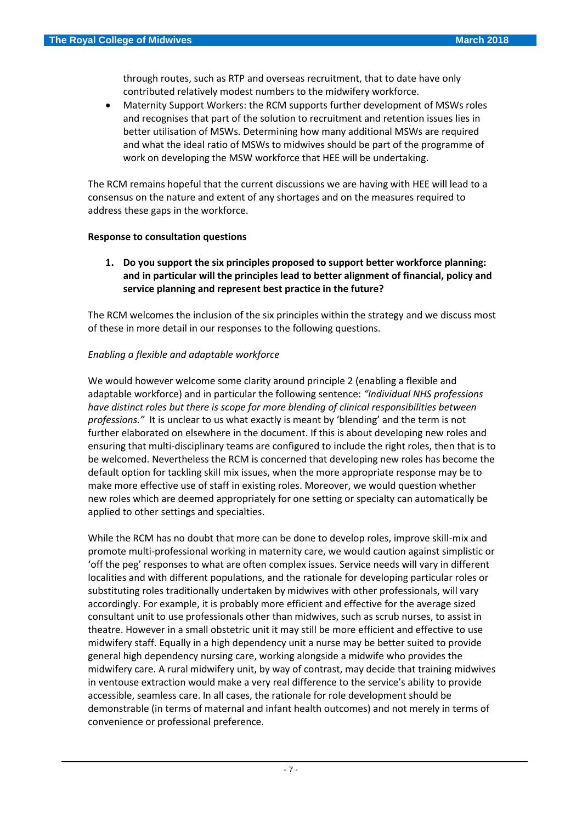through routes, such as RTP and overseas recruitment, that to date have only contributed relatively modest numbers to the midwifery workforce.

 Maternity Support Workers: the RCM supports further development of MSWs roles and recognises that part of the solution to recruitment and retention issues lies in better utilisation of MSWs. Determining how many additional MSWs are required and what the ideal ratio of MSWs to midwives should be part of the programme of work on developing the MSW workforce that HEE will be undertaking.

The RCM remains hopeful that the current discussions we are having with HEE will lead to a consensus on the nature and extent of any shortages and on the measures required to address these gaps in the workforce.

#### **Response to consultation questions**

**1. Do you support the six principles proposed to support better workforce planning: and in particular will the principles lead to better alignment of financial, policy and service planning and represent best practice in the future?** 

The RCM welcomes the inclusion of the six principles within the strategy and we discuss most of these in more detail in our responses to the following questions.

# *Enabling a flexible and adaptable workforce*

We would however welcome some clarity around principle 2 (enabling a flexible and adaptable workforce) and in particular the following sentence: *"Individual NHS professions have distinct roles but there is scope for more blending of clinical responsibilities between professions."* It is unclear to us what exactly is meant by 'blending' and the term is not further elaborated on elsewhere in the document. If this is about developing new roles and ensuring that multi-disciplinary teams are configured to include the right roles, then that is to be welcomed. Nevertheless the RCM is concerned that developing new roles has become the default option for tackling skill mix issues, when the more appropriate response may be to make more effective use of staff in existing roles. Moreover, we would question whether new roles which are deemed appropriately for one setting or specialty can automatically be applied to other settings and specialties.

While the RCM has no doubt that more can be done to develop roles, improve skill-mix and promote multi-professional working in maternity care, we would caution against simplistic or 'off the peg' responses to what are often complex issues. Service needs will vary in different localities and with different populations, and the rationale for developing particular roles or substituting roles traditionally undertaken by midwives with other professionals, will vary accordingly. For example, it is probably more efficient and effective for the average sized consultant unit to use professionals other than midwives, such as scrub nurses, to assist in theatre. However in a small obstetric unit it may still be more efficient and effective to use midwifery staff. Equally in a high dependency unit a nurse may be better suited to provide general high dependency nursing care, working alongside a midwife who provides the midwifery care. A rural midwifery unit, by way of contrast, may decide that training midwives in ventouse extraction would make a very real difference to the service's ability to provide accessible, seamless care. In all cases, the rationale for role development should be demonstrable (in terms of maternal and infant health outcomes) and not merely in terms of convenience or professional preference.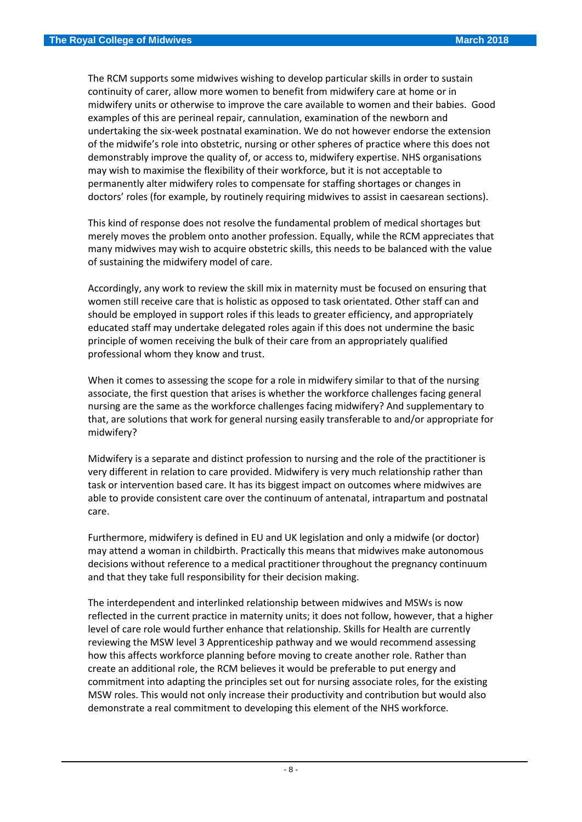The RCM supports some midwives wishing to develop particular skills in order to sustain continuity of carer, allow more women to benefit from midwifery care at home or in midwifery units or otherwise to improve the care available to women and their babies. Good examples of this are perineal repair, cannulation, examination of the newborn and undertaking the six-week postnatal examination. We do not however endorse the extension of the midwife's role into obstetric, nursing or other spheres of practice where this does not demonstrably improve the quality of, or access to, midwifery expertise. NHS organisations may wish to maximise the flexibility of their workforce, but it is not acceptable to permanently alter midwifery roles to compensate for staffing shortages or changes in doctors' roles (for example, by routinely requiring midwives to assist in caesarean sections).

This kind of response does not resolve the fundamental problem of medical shortages but merely moves the problem onto another profession. Equally, while the RCM appreciates that many midwives may wish to acquire obstetric skills, this needs to be balanced with the value of sustaining the midwifery model of care.

Accordingly, any work to review the skill mix in maternity must be focused on ensuring that women still receive care that is holistic as opposed to task orientated. Other staff can and should be employed in support roles if this leads to greater efficiency, and appropriately educated staff may undertake delegated roles again if this does not undermine the basic principle of women receiving the bulk of their care from an appropriately qualified professional whom they know and trust.

When it comes to assessing the scope for a role in midwifery similar to that of the nursing associate, the first question that arises is whether the workforce challenges facing general nursing are the same as the workforce challenges facing midwifery? And supplementary to that, are solutions that work for general nursing easily transferable to and/or appropriate for midwifery?

Midwifery is a separate and distinct profession to nursing and the role of the practitioner is very different in relation to care provided. Midwifery is very much relationship rather than task or intervention based care. It has its biggest impact on outcomes where midwives are able to provide consistent care over the continuum of antenatal, intrapartum and postnatal care.

Furthermore, midwifery is defined in EU and UK legislation and only a midwife (or doctor) may attend a woman in childbirth. Practically this means that midwives make autonomous decisions without reference to a medical practitioner throughout the pregnancy continuum and that they take full responsibility for their decision making.

The interdependent and interlinked relationship between midwives and MSWs is now reflected in the current practice in maternity units; it does not follow, however, that a higher level of care role would further enhance that relationship. Skills for Health are currently reviewing the MSW level 3 Apprenticeship pathway and we would recommend assessing how this affects workforce planning before moving to create another role. Rather than create an additional role, the RCM believes it would be preferable to put energy and commitment into adapting the principles set out for nursing associate roles, for the existing MSW roles. This would not only increase their productivity and contribution but would also demonstrate a real commitment to developing this element of the NHS workforce.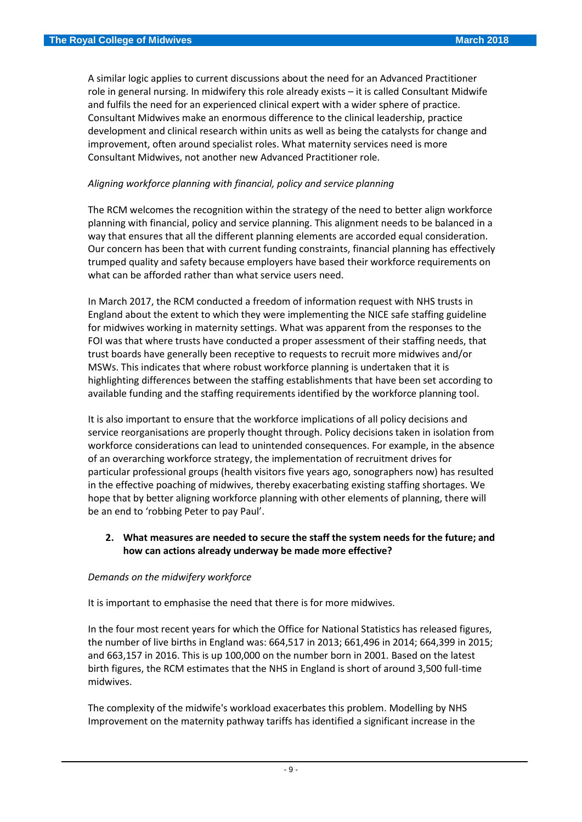A similar logic applies to current discussions about the need for an Advanced Practitioner role in general nursing. In midwifery this role already exists – it is called Consultant Midwife and fulfils the need for an experienced clinical expert with a wider sphere of practice. Consultant Midwives make an enormous difference to the clinical leadership, practice development and clinical research within units as well as being the catalysts for change and improvement, often around specialist roles. What maternity services need is more Consultant Midwives, not another new Advanced Practitioner role.

## *Aligning workforce planning with financial, policy and service planning*

The RCM welcomes the recognition within the strategy of the need to better align workforce planning with financial, policy and service planning. This alignment needs to be balanced in a way that ensures that all the different planning elements are accorded equal consideration. Our concern has been that with current funding constraints, financial planning has effectively trumped quality and safety because employers have based their workforce requirements on what can be afforded rather than what service users need.

In March 2017, the RCM conducted a freedom of information request with NHS trusts in England about the extent to which they were implementing the NICE safe staffing guideline for midwives working in maternity settings. What was apparent from the responses to the FOI was that where trusts have conducted a proper assessment of their staffing needs, that trust boards have generally been receptive to requests to recruit more midwives and/or MSWs. This indicates that where robust workforce planning is undertaken that it is highlighting differences between the staffing establishments that have been set according to available funding and the staffing requirements identified by the workforce planning tool.

It is also important to ensure that the workforce implications of all policy decisions and service reorganisations are properly thought through. Policy decisions taken in isolation from workforce considerations can lead to unintended consequences. For example, in the absence of an overarching workforce strategy, the implementation of recruitment drives for particular professional groups (health visitors five years ago, sonographers now) has resulted in the effective poaching of midwives, thereby exacerbating existing staffing shortages. We hope that by better aligning workforce planning with other elements of planning, there will be an end to 'robbing Peter to pay Paul'.

## **2. What measures are needed to secure the staff the system needs for the future; and how can actions already underway be made more effective?**

#### *Demands on the midwifery workforce*

It is important to emphasise the need that there is for more midwives.

In the four most recent years for which the Office for National Statistics has released figures, the number of live births in England was: 664,517 in 2013; 661,496 in 2014; 664,399 in 2015; and 663,157 in 2016. This is up 100,000 on the number born in 2001. Based on the latest birth figures, the RCM estimates that the NHS in England is short of around 3,500 full-time midwives.

The complexity of the midwife's workload exacerbates this problem. Modelling by NHS Improvement on the maternity pathway tariffs has identified a significant increase in the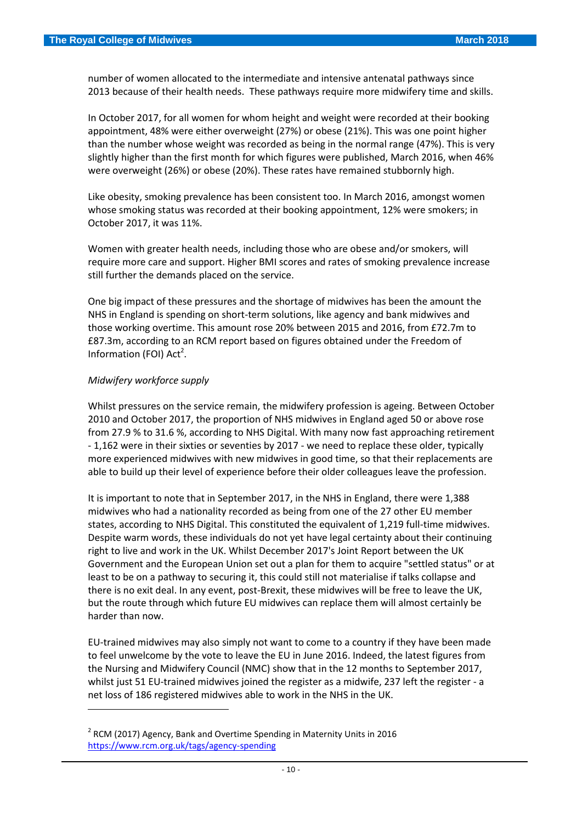number of women allocated to the intermediate and intensive antenatal pathways since 2013 because of their health needs. These pathways require more midwifery time and skills.

In October 2017, for all women for whom height and weight were recorded at their booking appointment, 48% were either overweight (27%) or obese (21%). This was one point higher than the number whose weight was recorded as being in the normal range (47%). This is very slightly higher than the first month for which figures were published, March 2016, when 46% were overweight (26%) or obese (20%). These rates have remained stubbornly high.

Like obesity, smoking prevalence has been consistent too. In March 2016, amongst women whose smoking status was recorded at their booking appointment, 12% were smokers; in October 2017, it was 11%.

Women with greater health needs, including those who are obese and/or smokers, will require more care and support. Higher BMI scores and rates of smoking prevalence increase still further the demands placed on the service.

One big impact of these pressures and the shortage of midwives has been the amount the NHS in England is spending on short-term solutions, like agency and bank midwives and those working overtime. This amount rose 20% between 2015 and 2016, from £72.7m to £87.3m, according to an RCM report based on figures obtained under the Freedom of Information (FOI) Act<sup>2</sup>.

#### *Midwifery workforce supply*

 $\overline{\phantom{a}}$ 

Whilst pressures on the service remain, the midwifery profession is ageing. Between October 2010 and October 2017, the proportion of NHS midwives in England aged 50 or above rose from 27.9 % to 31.6 %, according to NHS Digital. With many now fast approaching retirement - 1,162 were in their sixties or seventies by 2017 - we need to replace these older, typically more experienced midwives with new midwives in good time, so that their replacements are able to build up their level of experience before their older colleagues leave the profession.

It is important to note that in September 2017, in the NHS in England, there were 1,388 midwives who had a nationality recorded as being from one of the 27 other EU member states, according to NHS Digital. This constituted the equivalent of 1,219 full-time midwives. Despite warm words, these individuals do not yet have legal certainty about their continuing right to live and work in the UK. Whilst December 2017's Joint Report between the UK Government and the European Union set out a plan for them to acquire "settled status" or at least to be on a pathway to securing it, this could still not materialise if talks collapse and there is no exit deal. In any event, post-Brexit, these midwives will be free to leave the UK, but the route through which future EU midwives can replace them will almost certainly be harder than now.

EU-trained midwives may also simply not want to come to a country if they have been made to feel unwelcome by the vote to leave the EU in June 2016. Indeed, the latest figures from the Nursing and Midwifery Council (NMC) show that in the 12 months to September 2017, whilst just 51 EU-trained midwives joined the register as a midwife, 237 left the register - a net loss of 186 registered midwives able to work in the NHS in the UK.

 $2$  RCM (2017) Agency, Bank and Overtime Spending in Maternity Units in 2016 <https://www.rcm.org.uk/tags/agency-spending>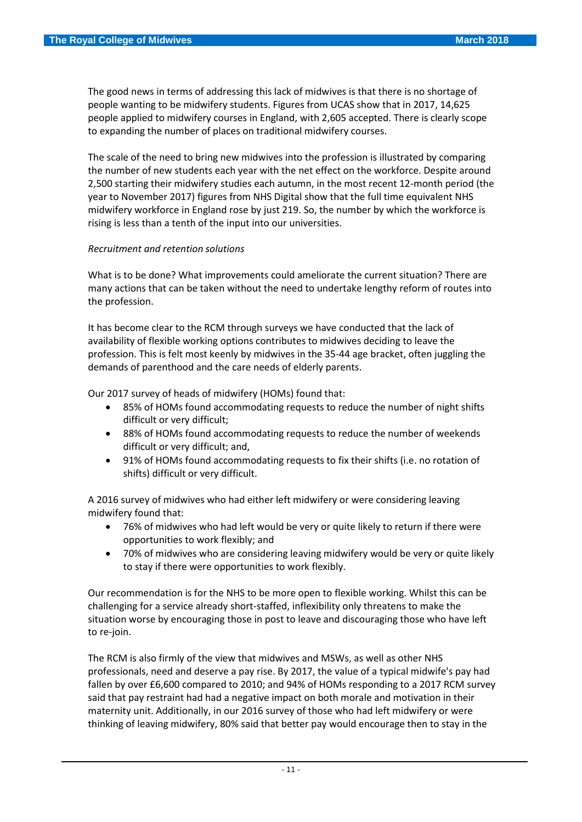The good news in terms of addressing this lack of midwives is that there is no shortage of people wanting to be midwifery students. Figures from UCAS show that in 2017, 14,625 people applied to midwifery courses in England, with 2,605 accepted. There is clearly scope to expanding the number of places on traditional midwifery courses.

The scale of the need to bring new midwives into the profession is illustrated by comparing the number of new students each year with the net effect on the workforce. Despite around 2,500 starting their midwifery studies each autumn, in the most recent 12-month period (the year to November 2017) figures from NHS Digital show that the full time equivalent NHS midwifery workforce in England rose by just 219. So, the number by which the workforce is rising is less than a tenth of the input into our universities.

#### *Recruitment and retention solutions*

What is to be done? What improvements could ameliorate the current situation? There are many actions that can be taken without the need to undertake lengthy reform of routes into the profession.

It has become clear to the RCM through surveys we have conducted that the lack of availability of flexible working options contributes to midwives deciding to leave the profession. This is felt most keenly by midwives in the 35-44 age bracket, often juggling the demands of parenthood and the care needs of elderly parents.

Our 2017 survey of heads of midwifery (HOMs) found that:

- 85% of HOMs found accommodating requests to reduce the number of night shifts difficult or very difficult;
- 88% of HOMs found accommodating requests to reduce the number of weekends difficult or very difficult; and,
- 91% of HOMs found accommodating requests to fix their shifts (i.e. no rotation of shifts) difficult or very difficult.

A 2016 survey of midwives who had either left midwifery or were considering leaving midwifery found that:

- 76% of midwives who had left would be very or quite likely to return if there were opportunities to work flexibly; and
- 70% of midwives who are considering leaving midwifery would be very or quite likely to stay if there were opportunities to work flexibly.

Our recommendation is for the NHS to be more open to flexible working. Whilst this can be challenging for a service already short-staffed, inflexibility only threatens to make the situation worse by encouraging those in post to leave and discouraging those who have left to re-join.

The RCM is also firmly of the view that midwives and MSWs, as well as other NHS professionals, need and deserve a pay rise. By 2017, the value of a typical midwife's pay had fallen by over £6,600 compared to 2010; and 94% of HOMs responding to a 2017 RCM survey said that pay restraint had had a negative impact on both morale and motivation in their maternity unit. Additionally, in our 2016 survey of those who had left midwifery or were thinking of leaving midwifery, 80% said that better pay would encourage then to stay in the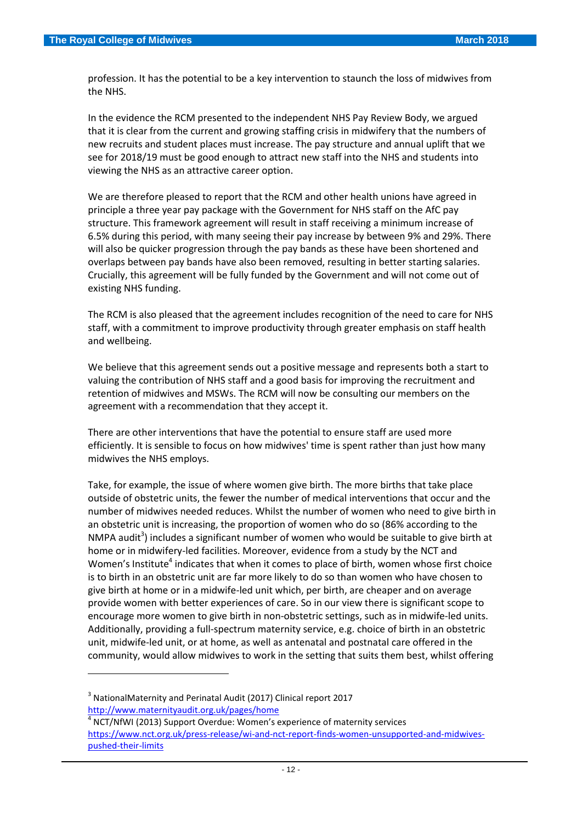profession. It has the potential to be a key intervention to staunch the loss of midwives from the NHS.

In the evidence the RCM presented to the independent NHS Pay Review Body, we argued that it is clear from the current and growing staffing crisis in midwifery that the numbers of new recruits and student places must increase. The pay structure and annual uplift that we see for 2018/19 must be good enough to attract new staff into the NHS and students into viewing the NHS as an attractive career option.

We are therefore pleased to report that the RCM and other health unions have agreed in principle a three year pay package with the Government for NHS staff on the AfC pay structure. This framework agreement will result in staff receiving a minimum increase of 6.5% during this period, with many seeing their pay increase by between 9% and 29%. There will also be quicker progression through the pay bands as these have been shortened and overlaps between pay bands have also been removed, resulting in better starting salaries. Crucially, this agreement will be fully funded by the Government and will not come out of existing NHS funding.

The RCM is also pleased that the agreement includes recognition of the need to care for NHS staff, with a commitment to improve productivity through greater emphasis on staff health and wellbeing.

We believe that this agreement sends out a positive message and represents both a start to valuing the contribution of NHS staff and a good basis for improving the recruitment and retention of midwives and MSWs. The RCM will now be consulting our members on the agreement with a recommendation that they accept it.

There are other interventions that have the potential to ensure staff are used more efficiently. It is sensible to focus on how midwives' time is spent rather than just how many midwives the NHS employs.

Take, for example, the issue of where women give birth. The more births that take place outside of obstetric units, the fewer the number of medical interventions that occur and the number of midwives needed reduces. Whilst the number of women who need to give birth in an obstetric unit is increasing, the proportion of women who do so (86% according to the NMPA audit<sup>3</sup>) includes a significant number of women who would be suitable to give birth at home or in midwifery-led facilities. Moreover, evidence from a study by the NCT and Women's Institute<sup>4</sup> indicates that when it comes to place of birth, women whose first choice is to birth in an obstetric unit are far more likely to do so than women who have chosen to give birth at home or in a midwife-led unit which, per birth, are cheaper and on average provide women with better experiences of care. So in our view there is significant scope to encourage more women to give birth in non-obstetric settings, such as in midwife-led units. Additionally, providing a full-spectrum maternity service, e.g. choice of birth in an obstetric unit, midwife-led unit, or at home, as well as antenatal and postnatal care offered in the community, would allow midwives to work in the setting that suits them best, whilst offering

**.** 

 $3$  NationalMaternity and Perinatal Audit (2017) Clinical report 2017 <http://www.maternityaudit.org.uk/pages/home>

<sup>4</sup> NCT/NfWI (2013) Support Overdue: Women's experience of maternity services [https://www.nct.org.uk/press-release/wi-and-nct-report-finds-women-unsupported-and-midwives](https://www.nct.org.uk/press-release/wi-and-nct-report-finds-women-unsupported-and-midwives-pushed-their-limits)[pushed-their-limits](https://www.nct.org.uk/press-release/wi-and-nct-report-finds-women-unsupported-and-midwives-pushed-their-limits)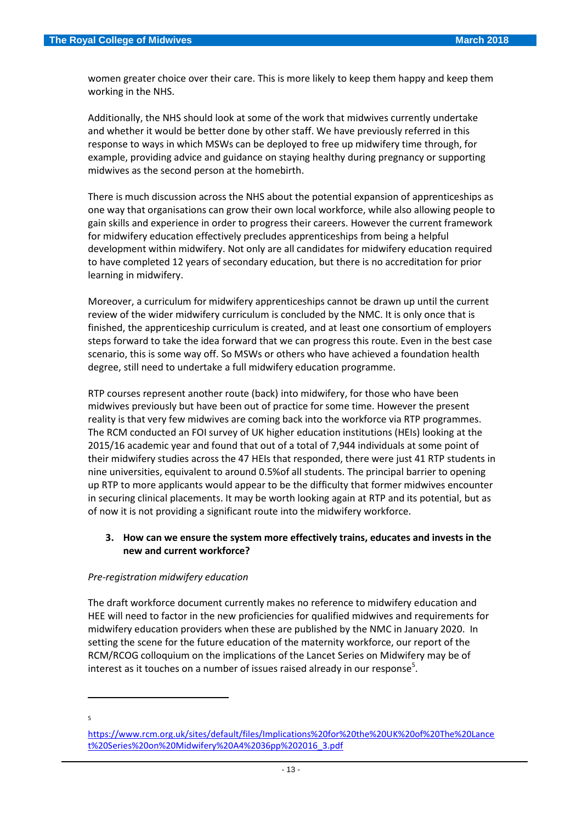women greater choice over their care. This is more likely to keep them happy and keep them working in the NHS.

Additionally, the NHS should look at some of the work that midwives currently undertake and whether it would be better done by other staff. We have previously referred in this response to ways in which MSWs can be deployed to free up midwifery time through, for example, providing advice and guidance on staying healthy during pregnancy or supporting midwives as the second person at the homebirth.

There is much discussion across the NHS about the potential expansion of apprenticeships as one way that organisations can grow their own local workforce, while also allowing people to gain skills and experience in order to progress their careers. However the current framework for midwifery education effectively precludes apprenticeships from being a helpful development within midwifery. Not only are all candidates for midwifery education required to have completed 12 years of secondary education, but there is no accreditation for prior learning in midwifery.

Moreover, a curriculum for midwifery apprenticeships cannot be drawn up until the current review of the wider midwifery curriculum is concluded by the NMC. It is only once that is finished, the apprenticeship curriculum is created, and at least one consortium of employers steps forward to take the idea forward that we can progress this route. Even in the best case scenario, this is some way off. So MSWs or others who have achieved a foundation health degree, still need to undertake a full midwifery education programme.

RTP courses represent another route (back) into midwifery, for those who have been midwives previously but have been out of practice for some time. However the present reality is that very few midwives are coming back into the workforce via RTP programmes. The RCM conducted an FOI survey of UK higher education institutions (HEIs) looking at the 2015/16 academic year and found that out of a total of 7,944 individuals at some point of their midwifery studies across the 47 HEIs that responded, there were just 41 RTP students in nine universities, equivalent to around 0.5%of all students. The principal barrier to opening up RTP to more applicants would appear to be the difficulty that former midwives encounter in securing clinical placements. It may be worth looking again at RTP and its potential, but as of now it is not providing a significant route into the midwifery workforce.

## **3. How can we ensure the system more effectively trains, educates and invests in the new and current workforce?**

#### *Pre-registration midwifery education*

The draft workforce document currently makes no reference to midwifery education and HEE will need to factor in the new proficiencies for qualified midwives and requirements for midwifery education providers when these are published by the NMC in January 2020. In setting the scene for the future education of the maternity workforce, our report of the RCM/RCOG colloquium on the implications of the Lancet Series on Midwifery may be of interest as it touches on a number of issues raised already in our response<sup>5</sup>.

5

**.** 

[https://www.rcm.org.uk/sites/default/files/Implications%20for%20the%20UK%20of%20The%20Lance](https://www.rcm.org.uk/sites/default/files/Implications%20for%20the%20UK%20of%20The%20Lancet%20Series%20on%20Midwifery%20A4%2036pp%202016_3.pdf) [t%20Series%20on%20Midwifery%20A4%2036pp%202016\\_3.pdf](https://www.rcm.org.uk/sites/default/files/Implications%20for%20the%20UK%20of%20The%20Lancet%20Series%20on%20Midwifery%20A4%2036pp%202016_3.pdf)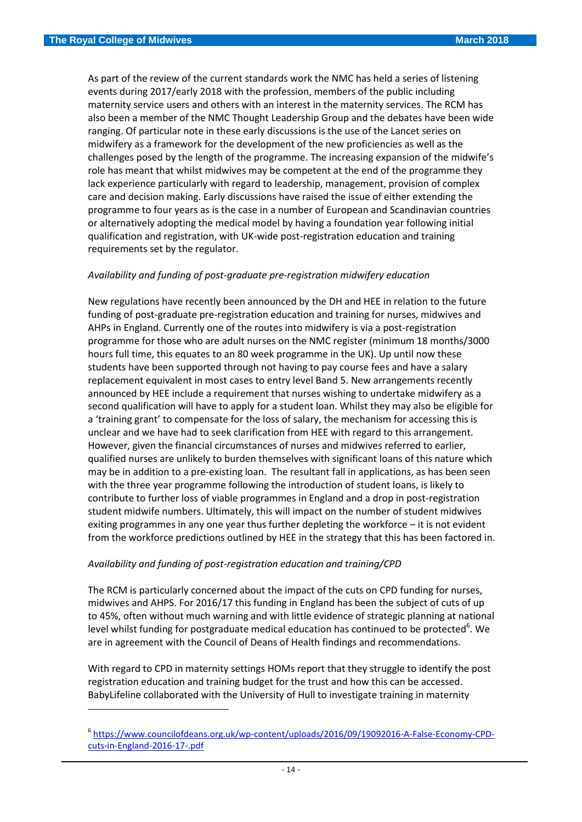$\overline{\phantom{a}}$ 

As part of the review of the current standards work the NMC has held a series of listening events during 2017/early 2018 with the profession, members of the public including maternity service users and others with an interest in the maternity services. The RCM has also been a member of the NMC Thought Leadership Group and the debates have been wide ranging. Of particular note in these early discussions is the use of the Lancet series on midwifery as a framework for the development of the new proficiencies as well as the challenges posed by the length of the programme. The increasing expansion of the midwife's role has meant that whilst midwives may be competent at the end of the programme they lack experience particularly with regard to leadership, management, provision of complex care and decision making. Early discussions have raised the issue of either extending the programme to four years as is the case in a number of European and Scandinavian countries or alternatively adopting the medical model by having a foundation year following initial qualification and registration, with UK-wide post-registration education and training requirements set by the regulator.

## *Availability and funding of post-graduate pre-registration midwifery education*

New regulations have recently been announced by the DH and HEE in relation to the future funding of post-graduate pre-registration education and training for nurses, midwives and AHPs in England. Currently one of the routes into midwifery is via a post-registration programme for those who are adult nurses on the NMC register (minimum 18 months/3000 hours full time, this equates to an 80 week programme in the UK). Up until now these students have been supported through not having to pay course fees and have a salary replacement equivalent in most cases to entry level Band 5. New arrangements recently announced by HEE include a requirement that nurses wishing to undertake midwifery as a second qualification will have to apply for a student loan. Whilst they may also be eligible for a 'training grant' to compensate for the loss of salary, the mechanism for accessing this is unclear and we have had to seek clarification from HEE with regard to this arrangement. However, given the financial circumstances of nurses and midwives referred to earlier, qualified nurses are unlikely to burden themselves with significant loans of this nature which may be in addition to a pre-existing loan. The resultant fall in applications, as has been seen with the three year programme following the introduction of student loans, is likely to contribute to further loss of viable programmes in England and a drop in post-registration student midwife numbers. Ultimately, this will impact on the number of student midwives exiting programmes in any one year thus further depleting the workforce  $-$  it is not evident from the workforce predictions outlined by HEE in the strategy that this has been factored in.

#### *Availability and funding of post-registration education and training/CPD*

The RCM is particularly concerned about the impact of the cuts on CPD funding for nurses, midwives and AHPS. For 2016/17 this funding in England has been the subject of cuts of up to 45%, often without much warning and with little evidence of strategic planning at national level whilst funding for postgraduate medical education has continued to be protected<sup>6</sup>. We are in agreement with the Council of Deans of Health findings and recommendations.

With regard to CPD in maternity settings HOMs report that they struggle to identify the post registration education and training budget for the trust and how this can be accessed. BabyLifeline collaborated with the University of Hull to investigate training in maternity

<sup>6</sup> [https://www.councilofdeans.org.uk/wp-content/uploads/2016/09/19092016-A-False-Economy-CPD](https://www.councilofdeans.org.uk/wp-content/uploads/2016/09/19092016-A-False-Economy-CPD-cuts-in-England-2016-17-.pdf)[cuts-in-England-2016-17-.pdf](https://www.councilofdeans.org.uk/wp-content/uploads/2016/09/19092016-A-False-Economy-CPD-cuts-in-England-2016-17-.pdf)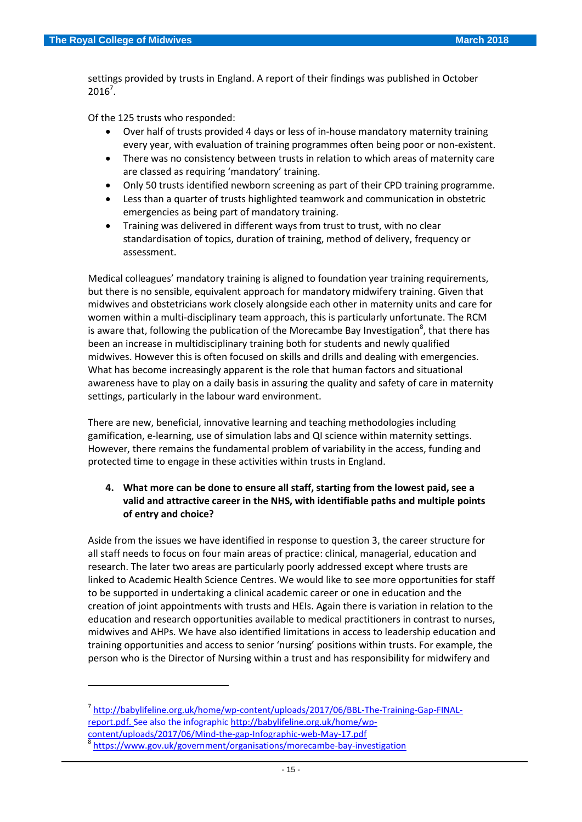1

settings provided by trusts in England. A report of their findings was published in October  $2016^7$ .

Of the 125 trusts who responded:

- Over half of trusts provided 4 days or less of in-house mandatory maternity training every year, with evaluation of training programmes often being poor or non-existent.
- There was no consistency between trusts in relation to which areas of maternity care are classed as requiring 'mandatory' training.
- Only 50 trusts identified newborn screening as part of their CPD training programme.
- Less than a quarter of trusts highlighted teamwork and communication in obstetric emergencies as being part of mandatory training.
- Training was delivered in different ways from trust to trust, with no clear standardisation of topics, duration of training, method of delivery, frequency or assessment.

Medical colleagues' mandatory training is aligned to foundation year training requirements, but there is no sensible, equivalent approach for mandatory midwifery training. Given that midwives and obstetricians work closely alongside each other in maternity units and care for women within a multi-disciplinary team approach, this is particularly unfortunate. The RCM is aware that, following the publication of the Morecambe Bay Investigation<sup>8</sup>, that there has been an increase in multidisciplinary training both for students and newly qualified midwives. However this is often focused on skills and drills and dealing with emergencies. What has become increasingly apparent is the role that human factors and situational awareness have to play on a daily basis in assuring the quality and safety of care in maternity settings, particularly in the labour ward environment.

There are new, beneficial, innovative learning and teaching methodologies including gamification, e-learning, use of simulation labs and QI science within maternity settings. However, there remains the fundamental problem of variability in the access, funding and protected time to engage in these activities within trusts in England.

# **4. What more can be done to ensure all staff, starting from the lowest paid, see a valid and attractive career in the NHS, with identifiable paths and multiple points of entry and choice?**

Aside from the issues we have identified in response to question 3, the career structure for all staff needs to focus on four main areas of practice: clinical, managerial, education and research. The later two areas are particularly poorly addressed except where trusts are linked to Academic Health Science Centres. We would like to see more opportunities for staff to be supported in undertaking a clinical academic career or one in education and the creation of joint appointments with trusts and HEIs. Again there is variation in relation to the education and research opportunities available to medical practitioners in contrast to nurses, midwives and AHPs. We have also identified limitations in access to leadership education and training opportunities and access to senior 'nursing' positions within trusts. For example, the person who is the Director of Nursing within a trust and has responsibility for midwifery and

<sup>&</sup>lt;sup>7</sup> [http://babylifeline.org.uk/home/wp-content/uploads/2017/06/BBL-The-Training-Gap-FINAL](http://babylifeline.org.uk/home/wp-content/uploads/2017/06/BBL-The-Training-Gap-FINAL-report.pdf)[report.pdf.](http://babylifeline.org.uk/home/wp-content/uploads/2017/06/BBL-The-Training-Gap-FINAL-report.pdf) See also the infographic [http://babylifeline.org.uk/home/wp](http://babylifeline.org.uk/home/wp-content/uploads/2017/06/Mind-the-gap-Infographic-web-May-17.pdf)[content/uploads/2017/06/Mind-the-gap-Infographic-web-May-17.pdf](http://babylifeline.org.uk/home/wp-content/uploads/2017/06/Mind-the-gap-Infographic-web-May-17.pdf) 8 <https://www.gov.uk/government/organisations/morecambe-bay-investigation>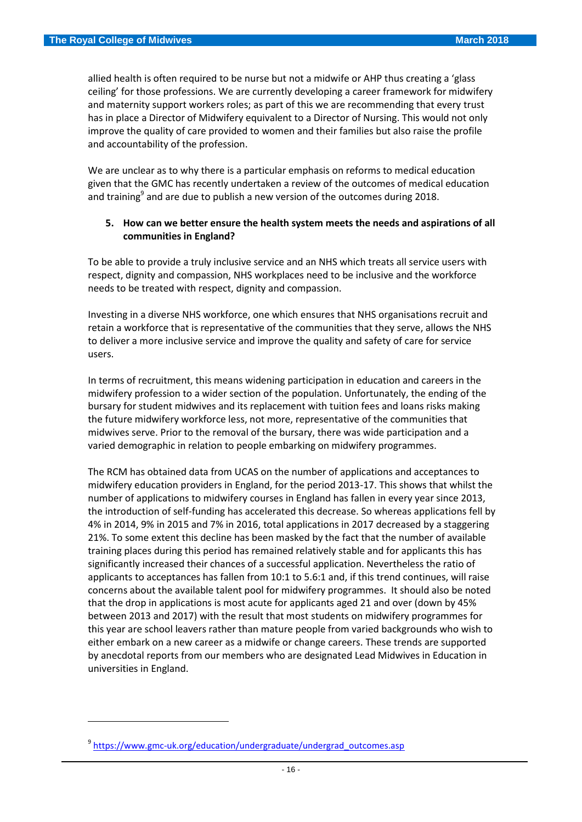allied health is often required to be nurse but not a midwife or AHP thus creating a 'glass ceiling' for those professions. We are currently developing a career framework for midwifery and maternity support workers roles; as part of this we are recommending that every trust has in place a Director of Midwifery equivalent to a Director of Nursing. This would not only improve the quality of care provided to women and their families but also raise the profile and accountability of the profession.

We are unclear as to why there is a particular emphasis on reforms to medical education given that the GMC has recently undertaken a review of the outcomes of medical education and training<sup>9</sup> and are due to publish a new version of the outcomes during 2018.

### **5. How can we better ensure the health system meets the needs and aspirations of all communities in England?**

To be able to provide a truly inclusive service and an NHS which treats all service users with respect, dignity and compassion, NHS workplaces need to be inclusive and the workforce needs to be treated with respect, dignity and compassion.

Investing in a diverse NHS workforce, one which ensures that NHS organisations recruit and retain a workforce that is representative of the communities that they serve, allows the NHS to deliver a more inclusive service and improve the quality and safety of care for service users.

In terms of recruitment, this means widening participation in education and careers in the midwifery profession to a wider section of the population. Unfortunately, the ending of the bursary for student midwives and its replacement with tuition fees and loans risks making the future midwifery workforce less, not more, representative of the communities that midwives serve. Prior to the removal of the bursary, there was wide participation and a varied demographic in relation to people embarking on midwifery programmes.

The RCM has obtained data from UCAS on the number of applications and acceptances to midwifery education providers in England, for the period 2013-17. This shows that whilst the number of applications to midwifery courses in England has fallen in every year since 2013, the introduction of self-funding has accelerated this decrease. So whereas applications fell by 4% in 2014, 9% in 2015 and 7% in 2016, total applications in 2017 decreased by a staggering 21%. To some extent this decline has been masked by the fact that the number of available training places during this period has remained relatively stable and for applicants this has significantly increased their chances of a successful application. Nevertheless the ratio of applicants to acceptances has fallen from 10:1 to 5.6:1 and, if this trend continues, will raise concerns about the available talent pool for midwifery programmes. It should also be noted that the drop in applications is most acute for applicants aged 21 and over (down by 45% between 2013 and 2017) with the result that most students on midwifery programmes for this year are school leavers rather than mature people from varied backgrounds who wish to either embark on a new career as a midwife or change careers. These trends are supported by anecdotal reports from our members who are designated Lead Midwives in Education in universities in England.

**.** 

<sup>&</sup>lt;sup>9</sup> [https://www.gmc-uk.org/education/undergraduate/undergrad\\_outcomes.asp](https://www.gmc-uk.org/education/undergraduate/undergrad_outcomes.asp)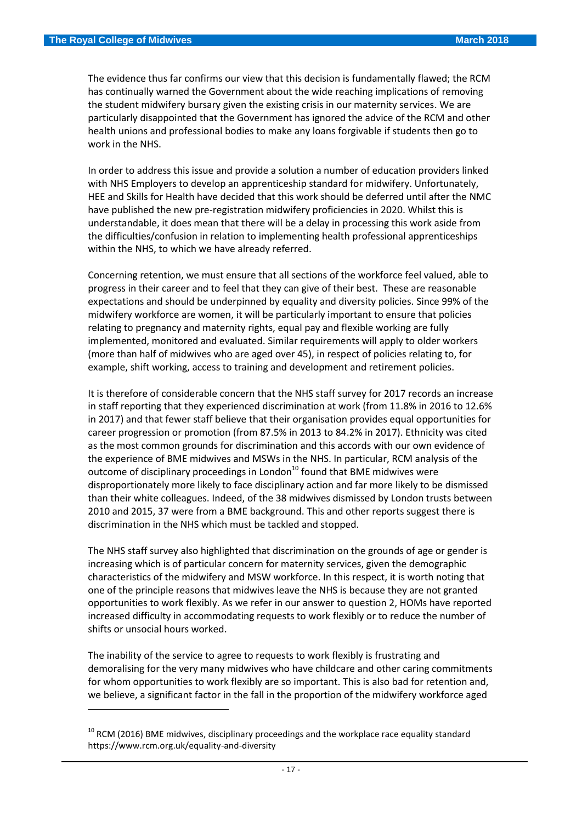$\overline{\phantom{a}}$ 

The evidence thus far confirms our view that this decision is fundamentally flawed; the RCM has continually warned the Government about the wide reaching implications of removing the student midwifery bursary given the existing crisis in our maternity services. We are particularly disappointed that the Government has ignored the advice of the RCM and other health unions and professional bodies to make any loans forgivable if students then go to work in the NHS.

In order to address this issue and provide a solution a number of education providers linked with NHS Employers to develop an apprenticeship standard for midwifery. Unfortunately, HEE and Skills for Health have decided that this work should be deferred until after the NMC have published the new pre-registration midwifery proficiencies in 2020. Whilst this is understandable, it does mean that there will be a delay in processing this work aside from the difficulties/confusion in relation to implementing health professional apprenticeships within the NHS, to which we have already referred.

Concerning retention, we must ensure that all sections of the workforce feel valued, able to progress in their career and to feel that they can give of their best. These are reasonable expectations and should be underpinned by equality and diversity policies. Since 99% of the midwifery workforce are women, it will be particularly important to ensure that policies relating to pregnancy and maternity rights, equal pay and flexible working are fully implemented, monitored and evaluated. Similar requirements will apply to older workers (more than half of midwives who are aged over 45), in respect of policies relating to, for example, shift working, access to training and development and retirement policies.

It is therefore of considerable concern that the NHS staff survey for 2017 records an increase in staff reporting that they experienced discrimination at work (from 11.8% in 2016 to 12.6% in 2017) and that fewer staff believe that their organisation provides equal opportunities for career progression or promotion (from 87.5% in 2013 to 84.2% in 2017). Ethnicity was cited as the most common grounds for discrimination and this accords with our own evidence of the experience of BME midwives and MSWs in the NHS. In particular, RCM analysis of the outcome of disciplinary proceedings in London<sup>10</sup> found that BME midwives were disproportionately more likely to face disciplinary action and far more likely to be dismissed than their white colleagues. Indeed, of the 38 midwives dismissed by London trusts between 2010 and 2015, 37 were from a BME background. This and other reports suggest there is discrimination in the NHS which must be tackled and stopped.

The NHS staff survey also highlighted that discrimination on the grounds of age or gender is increasing which is of particular concern for maternity services, given the demographic characteristics of the midwifery and MSW workforce. In this respect, it is worth noting that one of the principle reasons that midwives leave the NHS is because they are not granted opportunities to work flexibly. As we refer in our answer to question 2, HOMs have reported increased difficulty in accommodating requests to work flexibly or to reduce the number of shifts or unsocial hours worked.

The inability of the service to agree to requests to work flexibly is frustrating and demoralising for the very many midwives who have childcare and other caring commitments for whom opportunities to work flexibly are so important. This is also bad for retention and, we believe, a significant factor in the fall in the proportion of the midwifery workforce aged

 $10$  RCM (2016) BME midwives, disciplinary proceedings and the workplace race equality standard https://www.rcm.org.uk/equality-and-diversity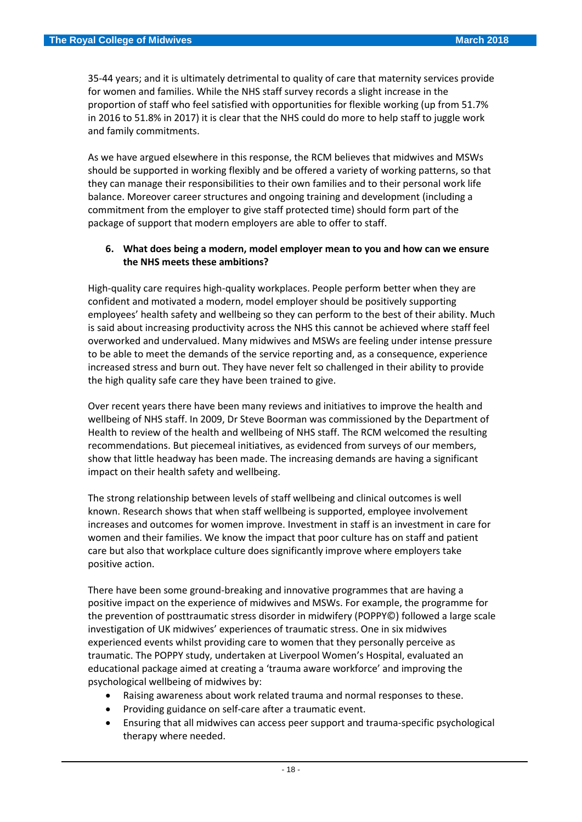35-44 years; and it is ultimately detrimental to quality of care that maternity services provide for women and families. While the NHS staff survey records a slight increase in the proportion of staff who feel satisfied with opportunities for flexible working (up from 51.7% in 2016 to 51.8% in 2017) it is clear that the NHS could do more to help staff to juggle work and family commitments.

As we have argued elsewhere in this response, the RCM believes that midwives and MSWs should be supported in working flexibly and be offered a variety of working patterns, so that they can manage their responsibilities to their own families and to their personal work life balance. Moreover career structures and ongoing training and development (including a commitment from the employer to give staff protected time) should form part of the package of support that modern employers are able to offer to staff.

## **6. What does being a modern, model employer mean to you and how can we ensure the NHS meets these ambitions?**

High-quality care requires high-quality workplaces. People perform better when they are confident and motivated a modern, model employer should be positively supporting employees' health safety and wellbeing so they can perform to the best of their ability. Much is said about increasing productivity across the NHS this cannot be achieved where staff feel overworked and undervalued. Many midwives and MSWs are feeling under intense pressure to be able to meet the demands of the service reporting and, as a consequence, experience increased stress and burn out. They have never felt so challenged in their ability to provide the high quality safe care they have been trained to give.

Over recent years there have been many reviews and initiatives to improve the health and wellbeing of NHS staff. In 2009, Dr Steve Boorman was commissioned by the Department of Health to review of the health and wellbeing of NHS staff. The RCM welcomed the resulting recommendations. But piecemeal initiatives, as evidenced from surveys of our members, show that little headway has been made. The increasing demands are having a significant impact on their health safety and wellbeing.

The strong relationship between levels of staff wellbeing and clinical outcomes is well known. Research shows that when staff wellbeing is supported, employee involvement increases and outcomes for women improve. Investment in staff is an investment in care for women and their families. We know the impact that poor culture has on staff and patient care but also that workplace culture does significantly improve where employers take positive action.

There have been some ground-breaking and innovative programmes that are having a positive impact on the experience of midwives and MSWs. For example, the programme for the prevention of posttraumatic stress disorder in midwifery (POPPY©) followed a large scale investigation of UK midwives' experiences of traumatic stress. One in six midwives experienced events whilst providing care to women that they personally perceive as traumatic. The POPPY study, undertaken at Liverpool Women's Hospital, evaluated an educational package aimed at creating a 'trauma aware workforce' and improving the psychological wellbeing of midwives by:

- Raising awareness about work related trauma and normal responses to these.
- Providing guidance on self-care after a traumatic event.
- Ensuring that all midwives can access peer support and trauma-specific psychological therapy where needed.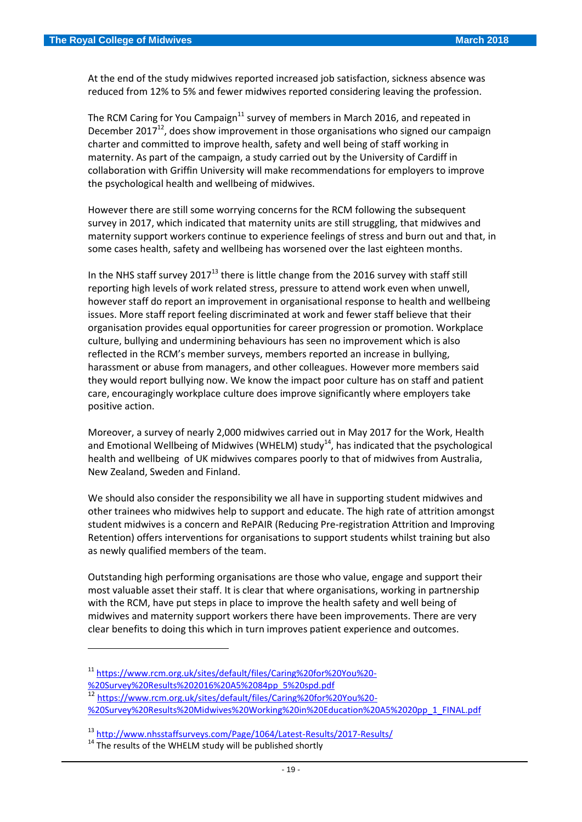At the end of the study midwives reported increased job satisfaction, sickness absence was reduced from 12% to 5% and fewer midwives reported considering leaving the profession.

The RCM Caring for You Campaign<sup>11</sup> survey of members in March 2016, and repeated in December 2017 $^{12}$ , does show improvement in those organisations who signed our campaign charter and committed to improve health, safety and well being of staff working in maternity. As part of the campaign, a study carried out by the University of Cardiff in collaboration with Griffin University will make recommendations for employers to improve the psychological health and wellbeing of midwives.

However there are still some worrying concerns for the RCM following the subsequent survey in 2017, which indicated that maternity units are still struggling, that midwives and maternity support workers continue to experience feelings of stress and burn out and that, in some cases health, safety and wellbeing has worsened over the last eighteen months.

In the NHS staff survey  $2017^{13}$  there is little change from the 2016 survey with staff still reporting high levels of work related stress, pressure to attend work even when unwell, however staff do report an improvement in organisational response to health and wellbeing issues. More staff report feeling discriminated at work and fewer staff believe that their organisation provides equal opportunities for career progression or promotion. Workplace culture, bullying and undermining behaviours has seen no improvement which is also reflected in the RCM's member surveys, members reported an increase in bullying, harassment or abuse from managers, and other colleagues. However more members said they would report bullying now. We know the impact poor culture has on staff and patient care, encouragingly workplace culture does improve significantly where employers take positive action.

Moreover, a survey of nearly 2,000 midwives carried out in May 2017 for the Work, Health and Emotional Wellbeing of Midwives (WHELM) study<sup>14</sup>, has indicated that the psychological health and wellbeing of UK midwives compares poorly to that of midwives from Australia, New Zealand, Sweden and Finland.

We should also consider the responsibility we all have in supporting student midwives and other trainees who midwives help to support and educate. The high rate of attrition amongst student midwives is a concern and RePAIR (Reducing Pre-registration Attrition and Improving Retention) offers interventions for organisations to support students whilst training but also as newly qualified members of the team.

Outstanding high performing organisations are those who value, engage and support their most valuable asset their staff. It is clear that where organisations, working in partnership with the RCM, have put steps in place to improve the health safety and well being of midwives and maternity support workers there have been improvements. There are very clear benefits to doing this which in turn improves patient experience and outcomes.

1

<sup>12</sup> [https://www.rcm.org.uk/sites/default/files/Caring%20for%20You%20-](https://www.rcm.org.uk/sites/default/files/Caring%20for%20You%20-%20Survey%20Results%20Midwives%20Working%20in%20Education%20A5%2020pp_1_FINAL.pdf)

[%20Survey%20Results%20Midwives%20Working%20in%20Education%20A5%2020pp\\_1\\_FINAL.pdf](https://www.rcm.org.uk/sites/default/files/Caring%20for%20You%20-%20Survey%20Results%20Midwives%20Working%20in%20Education%20A5%2020pp_1_FINAL.pdf)

<sup>11</sup> [https://www.rcm.org.uk/sites/default/files/Caring%20for%20You%20-](https://www.rcm.org.uk/sites/default/files/Caring%20for%20You%20-%20Survey%20Results%202016%20A5%2084pp_5%20spd.pdf)

[<sup>%20</sup>Survey%20Results%202016%20A5%2084pp\\_5%20spd.pdf](https://www.rcm.org.uk/sites/default/files/Caring%20for%20You%20-%20Survey%20Results%202016%20A5%2084pp_5%20spd.pdf)

<sup>13</sup> <http://www.nhsstaffsurveys.com/Page/1064/Latest-Results/2017-Results/>

 $14$  The results of the WHELM study will be published shortly